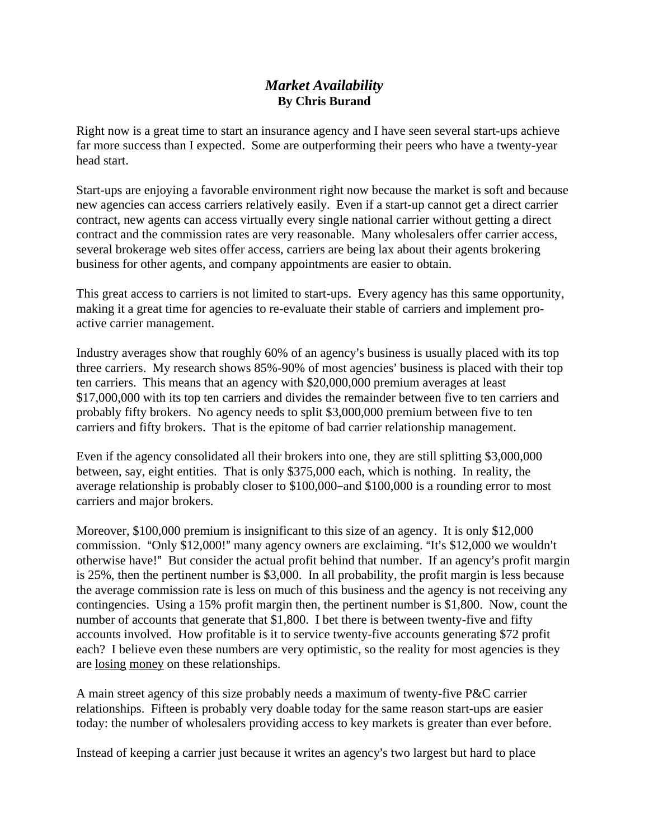## *Market Availability*  **By Chris Burand**

Right now is a great time to start an insurance agency and I have seen several start-ups achieve far more success than I expected. Some are outperforming their peers who have a twenty-year head start.

Start-ups are enjoying a favorable environment right now because the market is soft and because new agencies can access carriers relatively easily. Even if a start-up cannot get a direct carrier contract, new agents can access virtually every single national carrier without getting a direct contract and the commission rates are very reasonable. Many wholesalers offer carrier access, several brokerage web sites offer access, carriers are being lax about their agents brokering business for other agents, and company appointments are easier to obtain.

This great access to carriers is not limited to start-ups. Every agency has this same opportunity, making it a great time for agencies to re-evaluate their stable of carriers and implement proactive carrier management.

Industry averages show that roughly 60% of an agency's business is usually placed with its top three carriers. My research shows 85%-90% of most agencies' business is placed with their top ten carriers. This means that an agency with \$20,000,000 premium averages at least \$17,000,000 with its top ten carriers and divides the remainder between five to ten carriers and probably fifty brokers. No agency needs to split \$3,000,000 premium between five to ten carriers and fifty brokers. That is the epitome of bad carrier relationship management.

Even if the agency consolidated all their brokers into one, they are still splitting \$3,000,000 between, say, eight entities. That is only \$375,000 each, which is nothing. In reality, the average relationship is probably closer to  $$100,000$ -and  $$100,000$  is a rounding error to most carriers and major brokers.

Moreover, \$100,000 premium is insignificant to this size of an agency. It is only \$12,000 commission. "Only \$12,000!" many agency owners are exclaiming. "It's \$12,000 we wouldn't otherwise have!" But consider the actual profit behind that number. If an agency's profit margin is 25%, then the pertinent number is \$3,000. In all probability, the profit margin is less because the average commission rate is less on much of this business and the agency is not receiving any contingencies. Using a 15% profit margin then, the pertinent number is \$1,800. Now, count the number of accounts that generate that \$1,800. I bet there is between twenty-five and fifty accounts involved. How profitable is it to service twenty-five accounts generating \$72 profit each? I believe even these numbers are very optimistic, so the reality for most agencies is they are losing money on these relationships.

A main street agency of this size probably needs a maximum of twenty-five P&C carrier relationships. Fifteen is probably very doable today for the same reason start-ups are easier today: the number of wholesalers providing access to key markets is greater than ever before.

Instead of keeping a carrier just because it writes an agency's two largest but hard to place